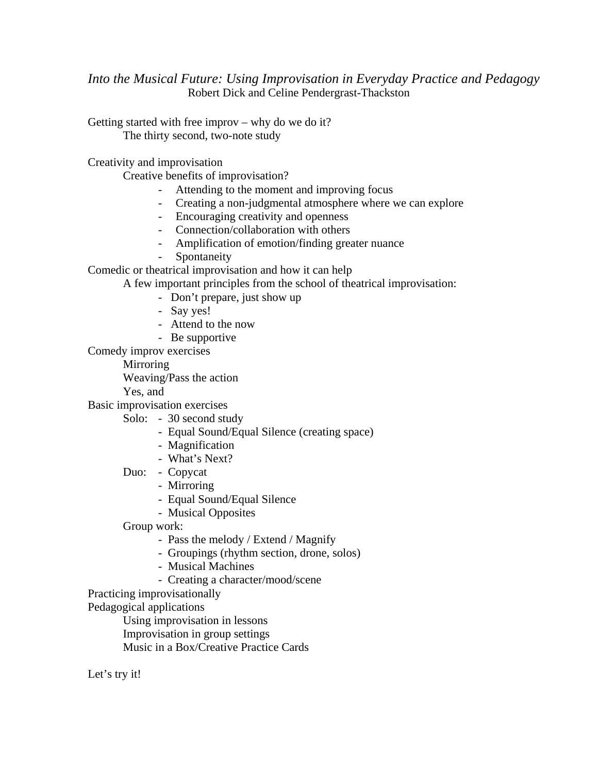*Into the Musical Future: Using Improvisation in Everyday Practice and Pedagogy*  Robert Dick and Celine Pendergrast-Thackston

Getting started with free improv – why do we do it? The thirty second, two-note study

Creativity and improvisation

Creative benefits of improvisation?

- Attending to the moment and improving focus
- Creating a non-judgmental atmosphere where we can explore
- Encouraging creativity and openness
- Connection/collaboration with others
- Amplification of emotion/finding greater nuance
- Spontaneity

Comedic or theatrical improvisation and how it can help

A few important principles from the school of theatrical improvisation:

- Don't prepare, just show up
- Say yes!
- Attend to the now
- Be supportive

Comedy improv exercises

**Mirroring** 

Weaving/Pass the action

Yes, and

Basic improvisation exercises

- Solo: 30 second study
	- Equal Sound/Equal Silence (creating space)
	- Magnification
	- What's Next?

Duo: - Copycat

- Mirroring
- Equal Sound/Equal Silence
- Musical Opposites
- Group work:
	- Pass the melody / Extend / Magnify
	- Groupings (rhythm section, drone, solos)
	- Musical Machines
	- Creating a character/mood/scene
- Practicing improvisationally

Pedagogical applications

Using improvisation in lessons

Improvisation in group settings

Music in a Box/Creative Practice Cards

Let's try it!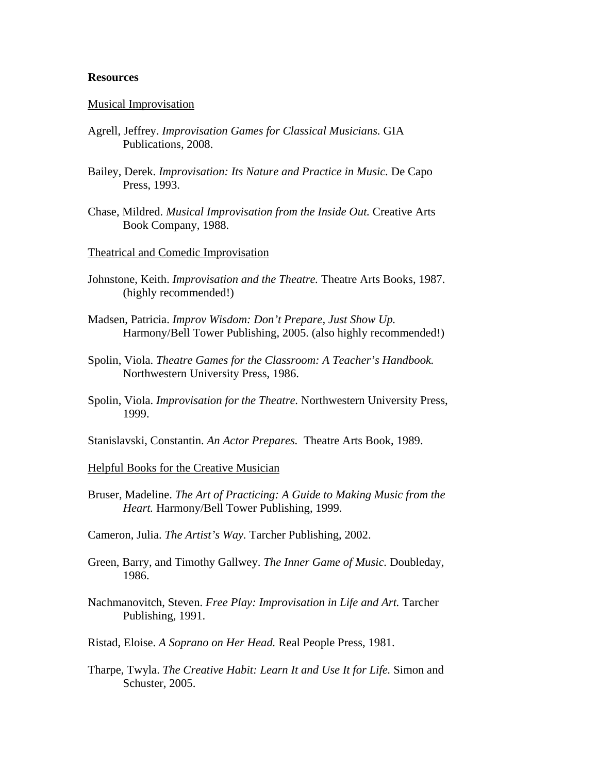### **Resources**

## Musical Improvisation

- Agrell, Jeffrey. *Improvisation Games for Classical Musicians.* GIA Publications, 2008.
- Bailey, Derek. *Improvisation: Its Nature and Practice in Music.* De Capo Press, 1993.
- Chase, Mildred. *Musical Improvisation from the Inside Out.* Creative Arts Book Company, 1988.
- Theatrical and Comedic Improvisation
- Johnstone, Keith. *Improvisation and the Theatre.* Theatre Arts Books, 1987. (highly recommended!)
- Madsen, Patricia. *Improv Wisdom: Don't Prepare, Just Show Up.* Harmony/Bell Tower Publishing, 2005. (also highly recommended!)
- Spolin, Viola. *Theatre Games for the Classroom: A Teacher's Handbook.* Northwestern University Press, 1986.
- Spolin, Viola. *Improvisation for the Theatre.* Northwestern University Press, 1999.
- Stanislavski, Constantin. *An Actor Prepares.* Theatre Arts Book, 1989.

### Helpful Books for the Creative Musician

- Bruser, Madeline. *The Art of Practicing: A Guide to Making Music from the Heart.* Harmony/Bell Tower Publishing, 1999.
- Cameron, Julia. *The Artist's Way.* Tarcher Publishing, 2002.
- Green, Barry, and Timothy Gallwey. *The Inner Game of Music.* Doubleday, 1986.
- Nachmanovitch, Steven. *Free Play: Improvisation in Life and Art.* Tarcher Publishing, 1991.
- Ristad, Eloise. *A Soprano on Her Head.* Real People Press, 1981.
- Tharpe, Twyla. *The Creative Habit: Learn It and Use It for Life.* Simon and Schuster, 2005.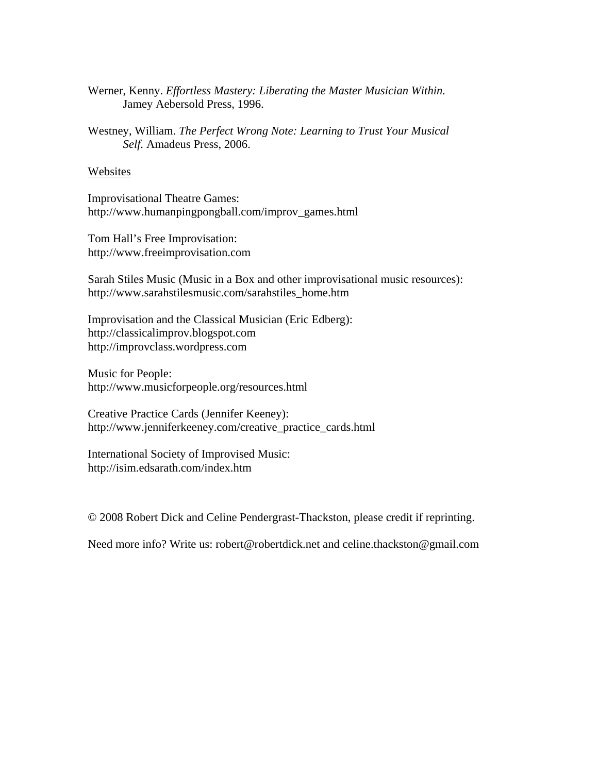- Werner, Kenny. *Effortless Mastery: Liberating the Master Musician Within.*  Jamey Aebersold Press, 1996.
- Westney, William. *The Perfect Wrong Note: Learning to Trust Your Musical Self.* Amadeus Press, 2006.

# Websites

Improvisational Theatre Games: http://www.humanpingpongball.com/improv\_games.html

Tom Hall's Free Improvisation: http://www.freeimprovisation.com

Sarah Stiles Music (Music in a Box and other improvisational music resources): http://www.sarahstilesmusic.com/sarahstiles\_home.htm

Improvisation and the Classical Musician (Eric Edberg): http://classicalimprov.blogspot.com http://improvclass.wordpress.com

Music for People: http://www.musicforpeople.org/resources.html

Creative Practice Cards (Jennifer Keeney): http://www.jenniferkeeney.com/creative\_practice\_cards.html

International Society of Improvised Music: http://isim.edsarath.com/index.htm

© 2008 Robert Dick and Celine Pendergrast-Thackston, please credit if reprinting.

Need more info? Write us: robert@robertdick.net and celine.thackston@gmail.com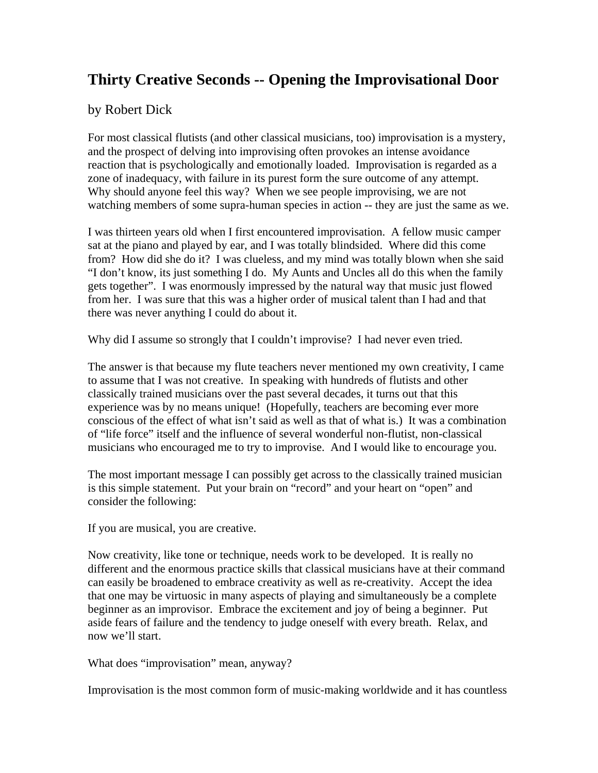# **Thirty Creative Seconds -- Opening the Improvisational Door**

# by Robert Dick

For most classical flutists (and other classical musicians, too) improvisation is a mystery, and the prospect of delving into improvising often provokes an intense avoidance reaction that is psychologically and emotionally loaded. Improvisation is regarded as a zone of inadequacy, with failure in its purest form the sure outcome of any attempt. Why should anyone feel this way? When we see people improvising, we are not watching members of some supra-human species in action -- they are just the same as we.

I was thirteen years old when I first encountered improvisation. A fellow music camper sat at the piano and played by ear, and I was totally blindsided. Where did this come from? How did she do it? I was clueless, and my mind was totally blown when she said "I don't know, its just something I do. My Aunts and Uncles all do this when the family gets together". I was enormously impressed by the natural way that music just flowed from her. I was sure that this was a higher order of musical talent than I had and that there was never anything I could do about it.

Why did I assume so strongly that I couldn't improvise? I had never even tried.

The answer is that because my flute teachers never mentioned my own creativity, I came to assume that I was not creative. In speaking with hundreds of flutists and other classically trained musicians over the past several decades, it turns out that this experience was by no means unique! (Hopefully, teachers are becoming ever more conscious of the effect of what isn't said as well as that of what is.) It was a combination of "life force" itself and the influence of several wonderful non-flutist, non-classical musicians who encouraged me to try to improvise. And I would like to encourage you.

The most important message I can possibly get across to the classically trained musician is this simple statement. Put your brain on "record" and your heart on "open" and consider the following:

If you are musical, you are creative.

Now creativity, like tone or technique, needs work to be developed. It is really no different and the enormous practice skills that classical musicians have at their command can easily be broadened to embrace creativity as well as re-creativity. Accept the idea that one may be virtuosic in many aspects of playing and simultaneously be a complete beginner as an improvisor. Embrace the excitement and joy of being a beginner. Put aside fears of failure and the tendency to judge oneself with every breath. Relax, and now we'll start.

What does "improvisation" mean, anyway?

Improvisation is the most common form of music-making worldwide and it has countless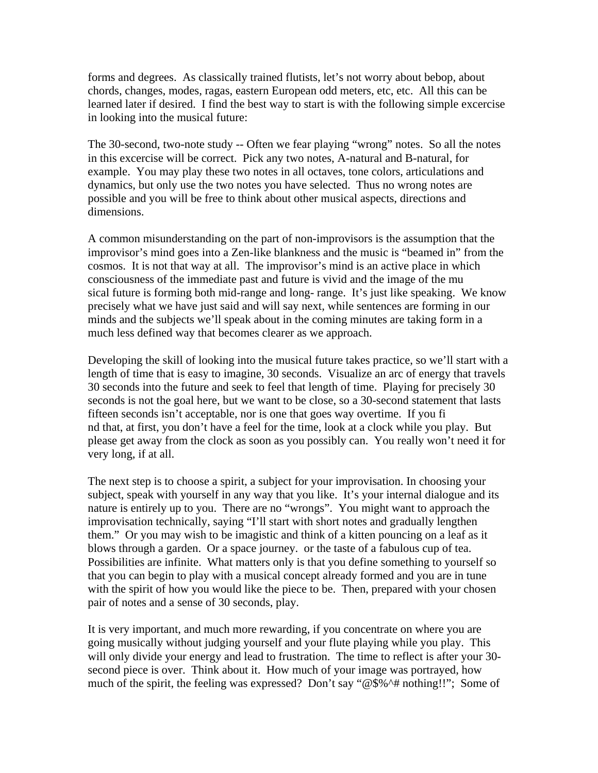forms and degrees. As classically trained flutists, let's not worry about bebop, about chords, changes, modes, ragas, eastern European odd meters, etc, etc. All this can be learned later if desired. I find the best way to start is with the following simple excercise in looking into the musical future:

The 30-second, two-note study -- Often we fear playing "wrong" notes. So all the notes in this excercise will be correct. Pick any two notes, A-natural and B-natural, for example. You may play these two notes in all octaves, tone colors, articulations and dynamics, but only use the two notes you have selected. Thus no wrong notes are possible and you will be free to think about other musical aspects, directions and dimensions.

A common misunderstanding on the part of non-improvisors is the assumption that the improvisor's mind goes into a Zen-like blankness and the music is "beamed in" from the cosmos. It is not that way at all. The improvisor's mind is an active place in which consciousness of the immediate past and future is vivid and the image of the mu sical future is forming both mid-range and long- range. It's just like speaking. We know precisely what we have just said and will say next, while sentences are forming in our minds and the subjects we'll speak about in the coming minutes are taking form in a much less defined way that becomes clearer as we approach.

Developing the skill of looking into the musical future takes practice, so we'll start with a length of time that is easy to imagine, 30 seconds. Visualize an arc of energy that travels 30 seconds into the future and seek to feel that length of time. Playing for precisely 30 seconds is not the goal here, but we want to be close, so a 30-second statement that lasts fifteen seconds isn't acceptable, nor is one that goes way overtime. If you fi nd that, at first, you don't have a feel for the time, look at a clock while you play. But please get away from the clock as soon as you possibly can. You really won't need it for very long, if at all.

The next step is to choose a spirit, a subject for your improvisation. In choosing your subject, speak with yourself in any way that you like. It's your internal dialogue and its nature is entirely up to you. There are no "wrongs". You might want to approach the improvisation technically, saying "I'll start with short notes and gradually lengthen them." Or you may wish to be imagistic and think of a kitten pouncing on a leaf as it blows through a garden. Or a space journey. or the taste of a fabulous cup of tea. Possibilities are infinite. What matters only is that you define something to yourself so that you can begin to play with a musical concept already formed and you are in tune with the spirit of how you would like the piece to be. Then, prepared with your chosen pair of notes and a sense of 30 seconds, play.

It is very important, and much more rewarding, if you concentrate on where you are going musically without judging yourself and your flute playing while you play. This will only divide your energy and lead to frustration. The time to reflect is after your 30 second piece is over. Think about it. How much of your image was portrayed, how much of the spirit, the feeling was expressed? Don't say "@\$%^# nothing!!"; Some of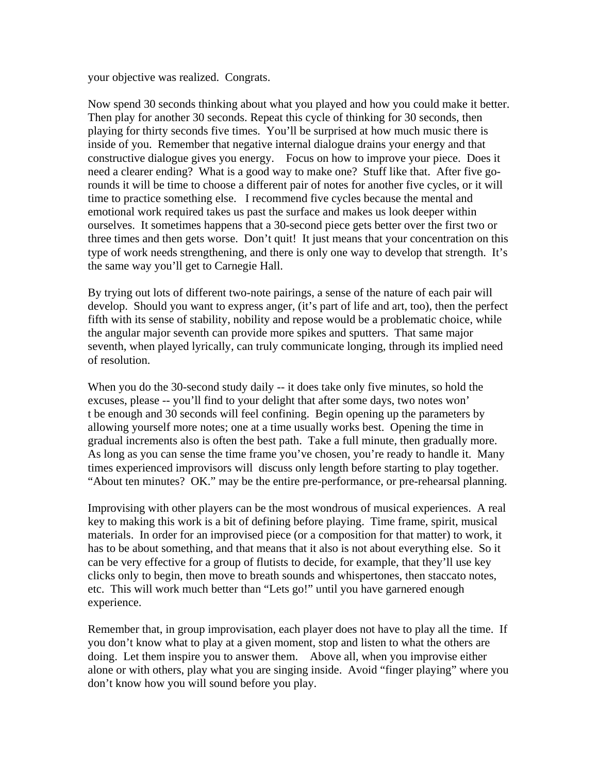your objective was realized. Congrats.

Now spend 30 seconds thinking about what you played and how you could make it better. Then play for another 30 seconds. Repeat this cycle of thinking for 30 seconds, then playing for thirty seconds five times. You'll be surprised at how much music there is inside of you. Remember that negative internal dialogue drains your energy and that constructive dialogue gives you energy. Focus on how to improve your piece. Does it need a clearer ending? What is a good way to make one? Stuff like that. After five gorounds it will be time to choose a different pair of notes for another five cycles, or it will time to practice something else. I recommend five cycles because the mental and emotional work required takes us past the surface and makes us look deeper within ourselves. It sometimes happens that a 30-second piece gets better over the first two or three times and then gets worse. Don't quit! It just means that your concentration on this type of work needs strengthening, and there is only one way to develop that strength. It's the same way you'll get to Carnegie Hall.

By trying out lots of different two-note pairings, a sense of the nature of each pair will develop. Should you want to express anger, (it's part of life and art, too), then the perfect fifth with its sense of stability, nobility and repose would be a problematic choice, while the angular major seventh can provide more spikes and sputters. That same major seventh, when played lyrically, can truly communicate longing, through its implied need of resolution.

When you do the 30-second study daily  $-$  it does take only five minutes, so hold the excuses, please -- you'll find to your delight that after some days, two notes won' t be enough and 30 seconds will feel confining. Begin opening up the parameters by allowing yourself more notes; one at a time usually works best. Opening the time in gradual increments also is often the best path. Take a full minute, then gradually more. As long as you can sense the time frame you've chosen, you're ready to handle it. Many times experienced improvisors will discuss only length before starting to play together. "About ten minutes? OK." may be the entire pre-performance, or pre-rehearsal planning.

Improvising with other players can be the most wondrous of musical experiences. A real key to making this work is a bit of defining before playing. Time frame, spirit, musical materials. In order for an improvised piece (or a composition for that matter) to work, it has to be about something, and that means that it also is not about everything else. So it can be very effective for a group of flutists to decide, for example, that they'll use key clicks only to begin, then move to breath sounds and whispertones, then staccato notes, etc. This will work much better than "Lets go!" until you have garnered enough experience.

Remember that, in group improvisation, each player does not have to play all the time. If you don't know what to play at a given moment, stop and listen to what the others are doing. Let them inspire you to answer them. Above all, when you improvise either alone or with others, play what you are singing inside. Avoid "finger playing" where you don't know how you will sound before you play.